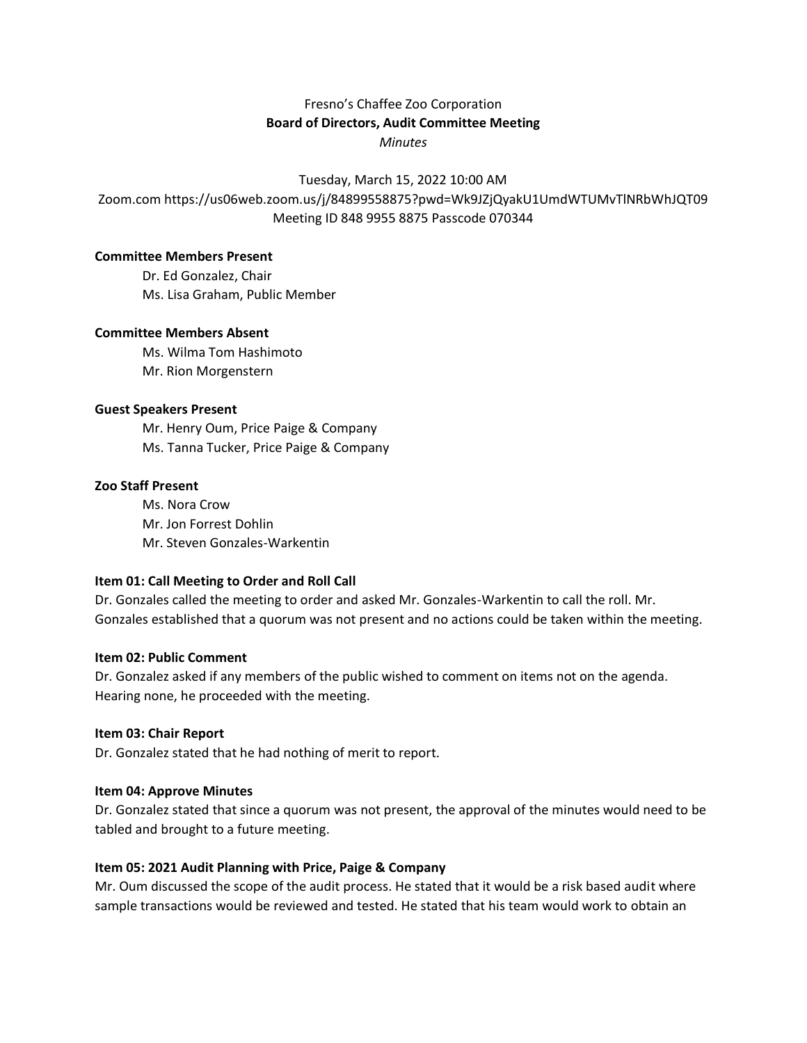# Fresno's Chaffee Zoo Corporation **Board of Directors, Audit Committee Meeting** *Minutes*

Tuesday, March 15, 2022 10:00 AM

Zoom.com https://us06web.zoom.us/j/84899558875?pwd=Wk9JZjQyakU1UmdWTUMvTlNRbWhJQT09 Meeting ID 848 9955 8875 Passcode 070344

### **Committee Members Present**

Dr. Ed Gonzalez, Chair Ms. Lisa Graham, Public Member

### **Committee Members Absent**

Ms. Wilma Tom Hashimoto Mr. Rion Morgenstern

### **Guest Speakers Present**

Mr. Henry Oum, Price Paige & Company Ms. Tanna Tucker, Price Paige & Company

### **Zoo Staff Present**

Ms. Nora Crow Mr. Jon Forrest Dohlin Mr. Steven Gonzales-Warkentin

## **Item 01: Call Meeting to Order and Roll Call**

Dr. Gonzales called the meeting to order and asked Mr. Gonzales-Warkentin to call the roll. Mr. Gonzales established that a quorum was not present and no actions could be taken within the meeting.

#### **Item 02: Public Comment**

Dr. Gonzalez asked if any members of the public wished to comment on items not on the agenda. Hearing none, he proceeded with the meeting.

## **Item 03: Chair Report**

Dr. Gonzalez stated that he had nothing of merit to report.

## **Item 04: Approve Minutes**

Dr. Gonzalez stated that since a quorum was not present, the approval of the minutes would need to be tabled and brought to a future meeting.

## **Item 05: 2021 Audit Planning with Price, Paige & Company**

Mr. Oum discussed the scope of the audit process. He stated that it would be a risk based audit where sample transactions would be reviewed and tested. He stated that his team would work to obtain an